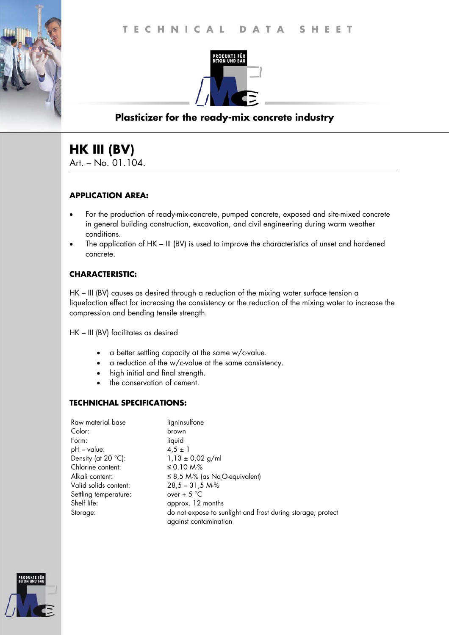

# **Plasticizer for the ready-mix concrete industry**

# **HK III (BV)**  Art. – No. 01.104.

### **APPLICATION AREA:**

- For the production of ready-mix-concrete, pumped concrete, exposed and site-mixed concrete in general building construction, excavation, and civil engineering during warm weather conditions.
- The application of HK III (BV) is used to improve the characteristics of unset and hardened concrete.

### **CHARACTERISTIC:**

HK – III (BV) causes as desired through a reduction of the mixing water surface tension a liquefaction effect for increasing the consistency or the reduction of the mixing water to increase the compression and bending tensile strength.

HK – III (BV) facilitates as desired

- a better settling capacity at the same w/c-value.
- a reduction of the w/c-value at the same consistency.
- high initial and final strength.
- the conservation of cement.

### **TECHNICHAL SPECIFICATIONS:**

| Raw material base     | ligninsulfone                                                                        |
|-----------------------|--------------------------------------------------------------------------------------|
| Color:                | brown                                                                                |
| Form:                 | liquid                                                                               |
| $pH - value$ :        | $4.5 \pm 1$                                                                          |
| Density (at 20 °C):   | $1,13 \pm 0,02$ g/ml                                                                 |
| Chlorine content:     | ≤ 0.10 M-%                                                                           |
| Alkali content:       | $\leq$ 8,5 M-% (as Na <sub>.</sub> O-equivalent)                                     |
| Valid solids content: | $28,5 - 31,5 M\%$                                                                    |
| Settling temperature: | over + $5^{\circ}$ C                                                                 |
| Shelf life:           | approx. 12 months                                                                    |
| Storage:              | do not expose to sunlight and frost during storage; protect<br>against contamination |